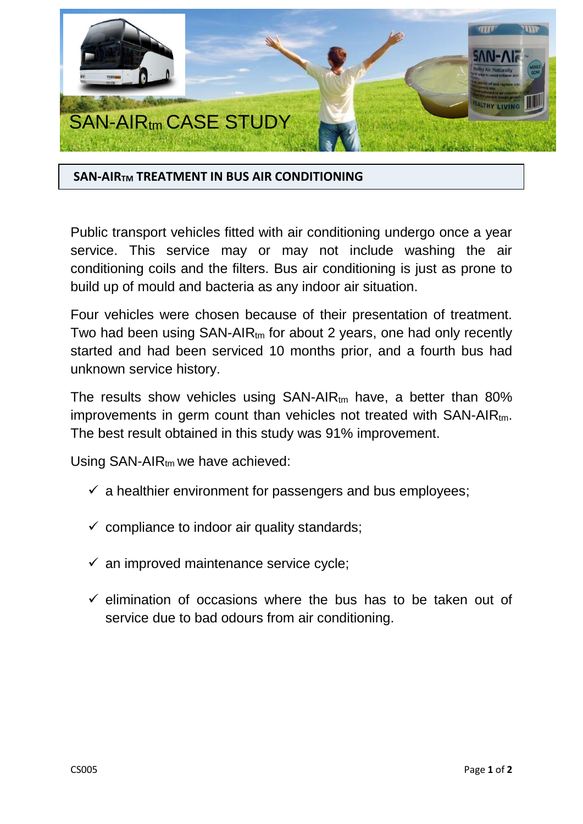

## **SAN-AIRTM TREATMENT IN BUS AIR CONDITIONING**

Public transport vehicles fitted with air conditioning undergo once a year service. This service may or may not include washing the air conditioning coils and the filters. Bus air conditioning is just as prone to build up of mould and bacteria as any indoor air situation.

Four vehicles were chosen because of their presentation of treatment. Two had been using  $SAN-AIR_{tm}$  for about 2 years, one had only recently started and had been serviced 10 months prior, and a fourth bus had unknown service history.

The results show vehicles using  $SAN-AIR_{tm}$  have, a better than 80% improvements in germ count than vehicles not treated with SAN-AIRtm. The best result obtained in this study was 91% improvement.

Using  $SAN-AIR_{tm}$  we have achieved:

- $\checkmark$  a healthier environment for passengers and bus employees;
- $\checkmark$  compliance to indoor air quality standards;
- $\checkmark$  an improved maintenance service cycle;
- $\checkmark$  elimination of occasions where the bus has to be taken out of service due to bad odours from air conditioning.